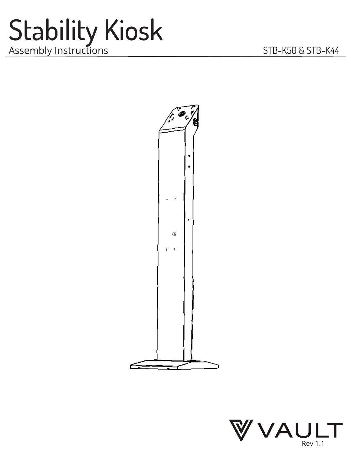### Stability Kiosk Assembly Instructions STB-K50 & STB-K44



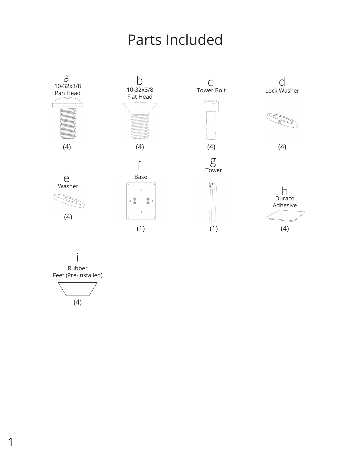#### Parts Included



Rubber Feet (Pre-installed) i

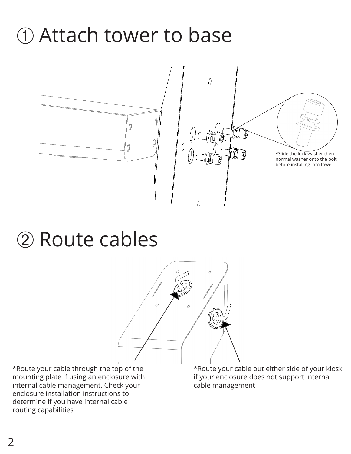## ➀ Attach tower to base



### ➁ Route cables



\*Route your cable through the top of the mounting plate if using an enclosure with internal cable management. Check your enclosure installation instructions to determine if you have internal cable routing capabilities

\*Route your cable out either side of your kiosk if your enclosure does not support internal cable management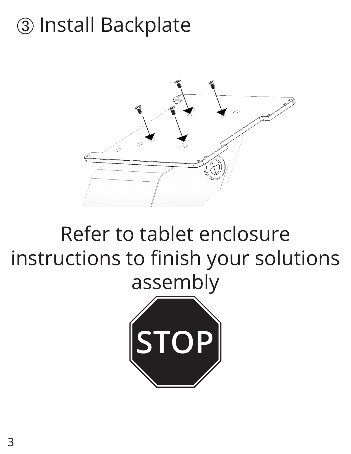### ➂ Install Backplate



### Refer to tablet enclosure instructions to finish your solutions assembly

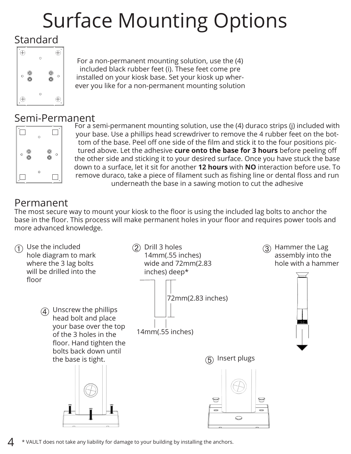# Surface Mounting Options

#### Standard



For a non-permanent mounting solution, use the (4) included black rubber feet (i). These feet come pre installed on your kiosk base. Set your kiosk up wherever you like for a non-permanent mounting solution

#### Semi-Permanent



For a semi-permanent mounting solution, use the (4) duraco strips (j) included with your base. Use a phillips head screwdriver to remove the 4 rubber feet on the bottom of the base. Peel off one side of the film and stick it to the four positions pictured above. Let the adhesive **cure onto the base for 3 hours** before peeling off the other side and sticking it to your desired surface. Once you have stuck the base down to a surface, let it sit for another **12 hours** with **NO** interaction before use. To remove duraco, take a piece of filament such as fishing line or dental floss and run underneath the base in a sawing motion to cut the adhesive

#### Permanent

The most secure way to mount your kiosk to the floor is using the included lag bolts to anchor the base in the floor. This process will make permanent holes in your floor and requires power tools and more advanced knowledge.